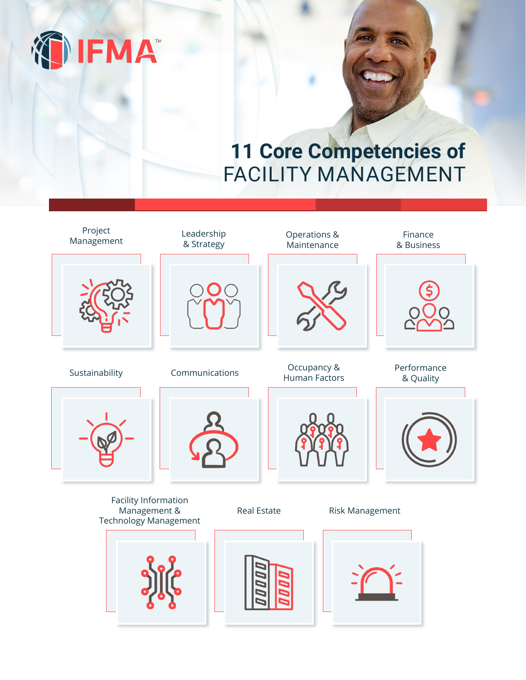

# **11 Core Competencies of** FACILITY MANAGEMENT

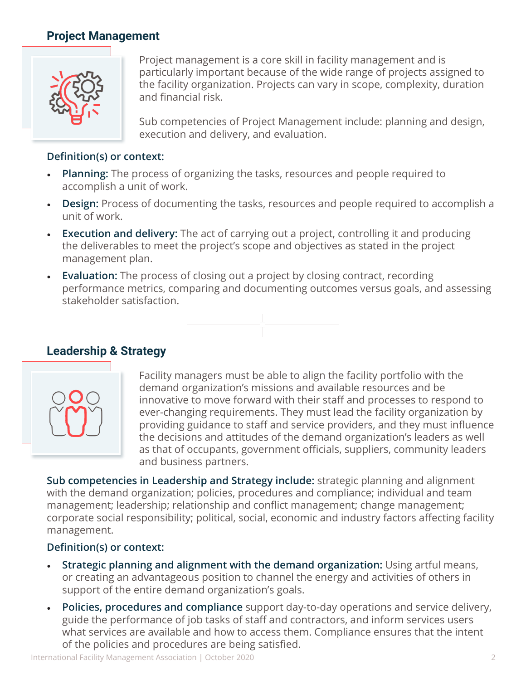## **Project Management**



Project management is a core skill in facility management and is particularly important because of the wide range of projects assigned to the facility organization. Projects can vary in scope, complexity, duration and financial risk.

Sub competencies of Project Management include: planning and design, execution and delivery, and evaluation.

#### **Definition(s) or context:**

- **Planning:** The process of organizing the tasks, resources and people required to accomplish a unit of work.
- **Design:** Process of documenting the tasks, resources and people required to accomplish a unit of work.
- **Execution and delivery:** The act of carrying out a project, controlling it and producing the deliverables to meet the project's scope and objectives as stated in the project management plan.
- **Evaluation:** The process of closing out a project by closing contract, recording performance metrics, comparing and documenting outcomes versus goals, and assessing stakeholder satisfaction.



# **Leadership & Strategy**



Facility managers must be able to align the facility portfolio with the demand organization's missions and available resources and be innovative to move forward with their staff and processes to respond to ever-changing requirements. They must lead the facility organization by providing guidance to staff and service providers, and they must influence the decisions and attitudes of the demand organization's leaders as well as that of occupants, government officials, suppliers, community leaders and business partners.

**Sub competencies in Leadership and Strategy include:** strategic planning and alignment with the demand organization; policies, procedures and compliance; individual and team management; leadership; relationship and conflict management; change management; corporate social responsibility; political, social, economic and industry factors affecting facility management.

- **Strategic planning and alignment with the demand organization:** Using artful means, or creating an advantageous position to channel the energy and activities of others in support of the entire demand organization's goals.
- **Policies, procedures and compliance** support day-to-day operations and service delivery, guide the performance of job tasks of staff and contractors, and inform services users what services are available and how to access them. Compliance ensures that the intent of the policies and procedures are being satisfied.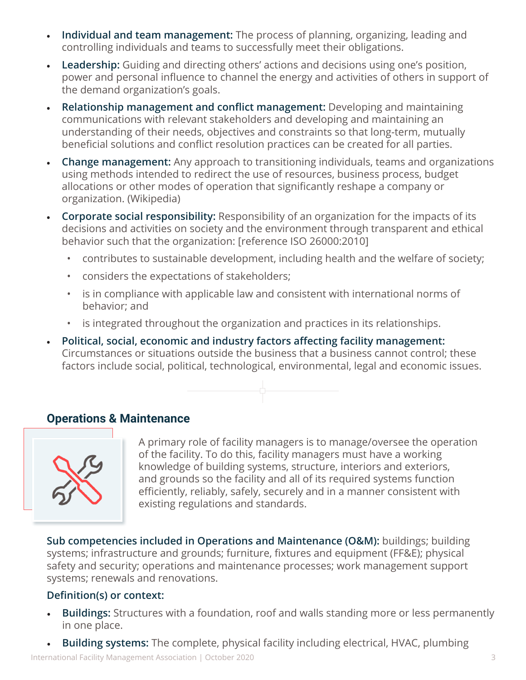- **Individual and team management:** The process of planning, organizing, leading and controlling individuals and teams to successfully meet their obligations.
- **Leadership:** Guiding and directing others' actions and decisions using one's position, power and personal influence to channel the energy and activities of others in support of the demand organization's goals.
- **Relationship management and conflict management:** Developing and maintaining communications with relevant stakeholders and developing and maintaining an understanding of their needs, objectives and constraints so that long-term, mutually beneficial solutions and conflict resolution practices can be created for all parties.
- **Change management:** Any approach to transitioning individuals, teams and organizations using methods intended to redirect the use of resources, business process, budget allocations or other modes of operation that significantly reshape a company or organization. (Wikipedia)
- **Corporate social responsibility:** Responsibility of an organization for the impacts of its decisions and activities on society and the environment through transparent and ethical behavior such that the organization: [reference ISO 26000:2010]
	- contributes to sustainable development, including health and the welfare of society;
	- considers the expectations of stakeholders;
	- is in compliance with applicable law and consistent with international norms of behavior; and
	- is integrated throughout the organization and practices in its relationships.
- **Political, social, economic and industry factors affecting facility management:** Circumstances or situations outside the business that a business cannot control; these factors include social, political, technological, environmental, legal and economic issues.



# **Operations & Maintenance**



A primary role of facility managers is to manage/oversee the operation of the facility. To do this, facility managers must have a working knowledge of building systems, structure, interiors and exteriors, and grounds so the facility and all of its required systems function efficiently, reliably, safely, securely and in a manner consistent with existing regulations and standards.

**Sub competencies included in Operations and Maintenance (O&M):** buildings; building systems; infrastructure and grounds; furniture, fixtures and equipment (FF&E); physical safety and security; operations and maintenance processes; work management support systems; renewals and renovations.

- **Buildings:** Structures with a foundation, roof and walls standing more or less permanently in one place.
- **Building systems:** The complete, physical facility including electrical, HVAC, plumbing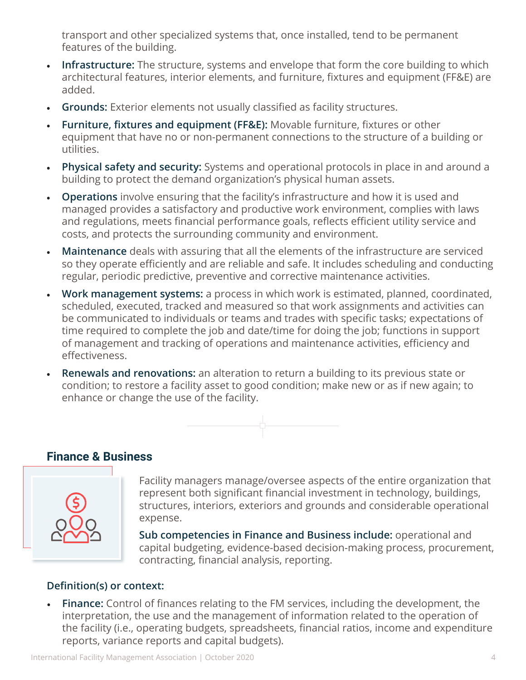transport and other specialized systems that, once installed, tend to be permanent features of the building.

- **Infrastructure:** The structure, systems and envelope that form the core building to which architectural features, interior elements, and furniture, fixtures and equipment (FF&E) are added.
- **Grounds:** Exterior elements not usually classified as facility structures.
- **Furniture, fixtures and equipment (FF&E):** Movable furniture, fixtures or other equipment that have no or non-permanent connections to the structure of a building or utilities.
- **Physical safety and security:** Systems and operational protocols in place in and around a building to protect the demand organization's physical human assets.
- **Operations** involve ensuring that the facility's infrastructure and how it is used and managed provides a satisfactory and productive work environment, complies with laws and regulations, meets financial performance goals, reflects efficient utility service and costs, and protects the surrounding community and environment.
- **Maintenance** deals with assuring that all the elements of the infrastructure are serviced so they operate efficiently and are reliable and safe. It includes scheduling and conducting regular, periodic predictive, preventive and corrective maintenance activities.
- **Work management systems:** a process in which work is estimated, planned, coordinated, scheduled, executed, tracked and measured so that work assignments and activities can be communicated to individuals or teams and trades with specific tasks; expectations of time required to complete the job and date/time for doing the job; functions in support of management and tracking of operations and maintenance activities, efficiency and effectiveness.
- **Renewals and renovations:** an alteration to return a building to its previous state or condition; to restore a facility asset to good condition; make new or as if new again; to enhance or change the use of the facility.



# **Finance & Business**



Facility managers manage/oversee aspects of the entire organization that represent both significant financial investment in technology, buildings, structures, interiors, exteriors and grounds and considerable operational expense.

**Sub competencies in Finance and Business include:** operational and capital budgeting, evidence-based decision-making process, procurement, contracting, financial analysis, reporting.

## **Definition(s) or context:**

• **Finance:** Control of finances relating to the FM services, including the development, the interpretation, the use and the management of information related to the operation of the facility (i.e., operating budgets, spreadsheets, financial ratios, income and expenditure reports, variance reports and capital budgets).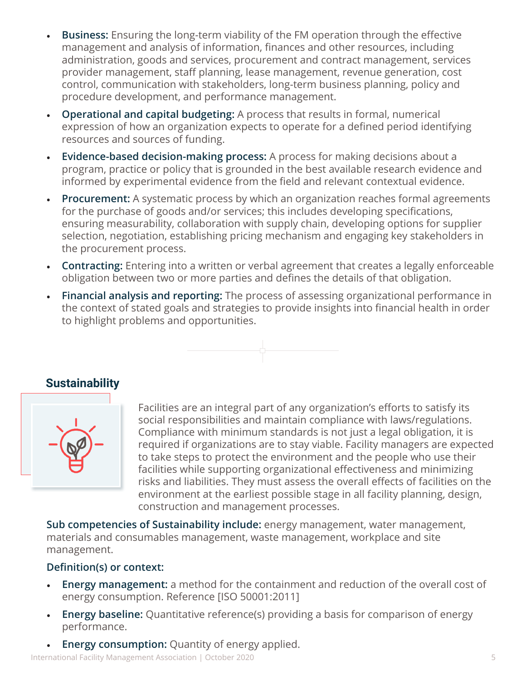- **Business:** Ensuring the long-term viability of the FM operation through the effective management and analysis of information, finances and other resources, including administration, goods and services, procurement and contract management, services provider management, staff planning, lease management, revenue generation, cost control, communication with stakeholders, long-term business planning, policy and procedure development, and performance management.
- **Operational and capital budgeting:** A process that results in formal, numerical expression of how an organization expects to operate for a defined period identifying resources and sources of funding.
- **Evidence-based decision-making process:** A process for making decisions about a program, practice or policy that is grounded in the best available research evidence and informed by experimental evidence from the field and relevant contextual evidence.
- **Procurement:** A systematic process by which an organization reaches formal agreements for the purchase of goods and/or services; this includes developing specifications, ensuring measurability, collaboration with supply chain, developing options for supplier selection, negotiation, establishing pricing mechanism and engaging key stakeholders in the procurement process.
- **Contracting:** Entering into a written or verbal agreement that creates a legally enforceable obligation between two or more parties and defines the details of that obligation.
- **Financial analysis and reporting:** The process of assessing organizational performance in the context of stated goals and strategies to provide insights into financial health in order to highlight problems and opportunities.



## **Sustainability**



Facilities are an integral part of any organization's efforts to satisfy its social responsibilities and maintain compliance with laws/regulations. Compliance with minimum standards is not just a legal obligation, it is required if organizations are to stay viable. Facility managers are expected to take steps to protect the environment and the people who use their facilities while supporting organizational effectiveness and minimizing risks and liabilities. They must assess the overall effects of facilities on the environment at the earliest possible stage in all facility planning, design, construction and management processes.

**Sub competencies of Sustainability include:** energy management, water management, materials and consumables management, waste management, workplace and site management.

## **Definition(s) or context:**

- **Energy management:** a method for the containment and reduction of the overall cost of energy consumption. Reference [ISO 50001:2011]
- **Energy baseline:** Quantitative reference(s) providing a basis for comparison of energy performance.
- **Energy consumption:** Quantity of energy applied.

International Facility Management Association | October 2020 5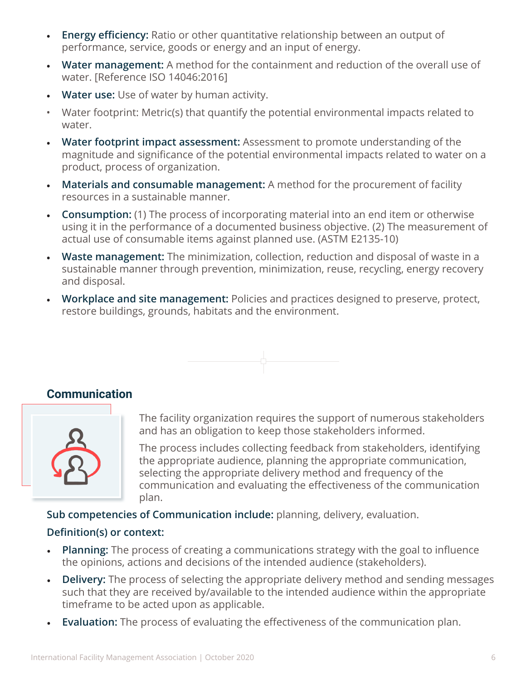- **Energy efficiency:** Ratio or other quantitative relationship between an output of performance, service, goods or energy and an input of energy.
- **Water management:** A method for the containment and reduction of the overall use of water. [Reference ISO 14046:2016]
- **Water use:** Use of water by human activity.
- Water footprint: Metric(s) that quantify the potential environmental impacts related to water.
- **Water footprint impact assessment:** Assessment to promote understanding of the magnitude and significance of the potential environmental impacts related to water on a product, process of organization.
- **Materials and consumable management:** A method for the procurement of facility resources in a sustainable manner.
- **Consumption:** (1) The process of incorporating material into an end item or otherwise using it in the performance of a documented business objective. (2) The measurement of actual use of consumable items against planned use. (ASTM E2135-10)
- **Waste management:** The minimization, collection, reduction and disposal of waste in a sustainable manner through prevention, minimization, reuse, recycling, energy recovery and disposal.
- **Workplace and site management:** Policies and practices designed to preserve, protect, restore buildings, grounds, habitats and the environment.



## **Communication**



The facility organization requires the support of numerous stakeholders and has an obligation to keep those stakeholders informed.

The process includes collecting feedback from stakeholders, identifying the appropriate audience, planning the appropriate communication, selecting the appropriate delivery method and frequency of the communication and evaluating the effectiveness of the communication plan.

**Sub competencies of Communication include:** planning, delivery, evaluation.

- **Planning:** The process of creating a communications strategy with the goal to influence the opinions, actions and decisions of the intended audience (stakeholders).
- **Delivery:** The process of selecting the appropriate delivery method and sending messages such that they are received by/available to the intended audience within the appropriate timeframe to be acted upon as applicable.
- **Evaluation:** The process of evaluating the effectiveness of the communication plan.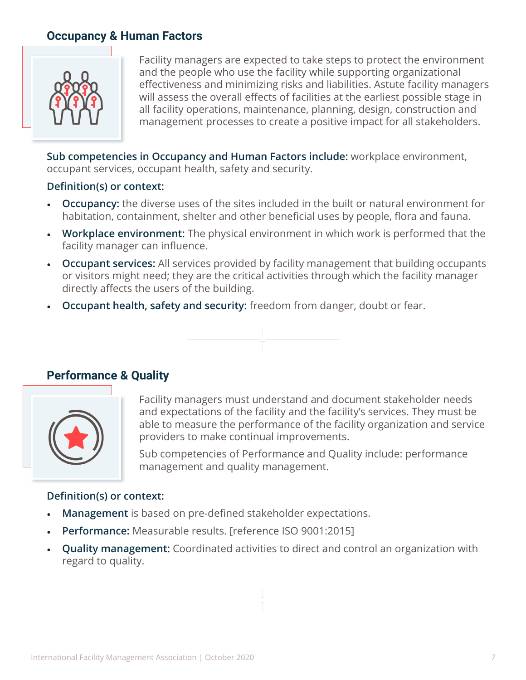# **Occupancy & Human Factors**



Facility managers are expected to take steps to protect the environment and the people who use the facility while supporting organizational effectiveness and minimizing risks and liabilities. Astute facility managers will assess the overall effects of facilities at the earliest possible stage in all facility operations, maintenance, planning, design, construction and management processes to create a positive impact for all stakeholders.

**Sub competencies in Occupancy and Human Factors include:** workplace environment, occupant services, occupant health, safety and security.

## **Definition(s) or context:**

- **Occupancy:** the diverse uses of the sites included in the built or natural environment for habitation, containment, shelter and other beneficial uses by people, flora and fauna.
- **Workplace environment:** The physical environment in which work is performed that the facility manager can influence.
- **Occupant services:** All services provided by facility management that building occupants or visitors might need; they are the critical activities through which the facility manager directly affects the users of the building.
- **Occupant health, safety and security:** freedom from danger, doubt or fear.



## **Performance & Quality**



Facility managers must understand and document stakeholder needs and expectations of the facility and the facility's services. They must be able to measure the performance of the facility organization and service providers to make continual improvements.

Sub competencies of Performance and Quality include: performance management and quality management.

- **Management** is based on pre-defined stakeholder expectations.
- **Performance:** Measurable results. [reference ISO 9001:2015]
- **Quality management:** Coordinated activities to direct and control an organization with regard to quality.

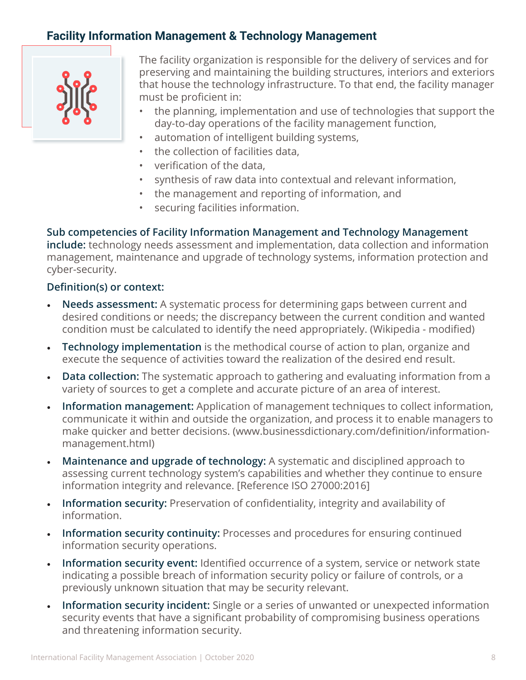# **Facility Information Management & Technology Management**



The facility organization is responsible for the delivery of services and for preserving and maintaining the building structures, interiors and exteriors that house the technology infrastructure. To that end, the facility manager must be proficient in:

- the planning, implementation and use of technologies that support the day-to-day operations of the facility management function,
- automation of intelligent building systems,
- the collection of facilities data,
- verification of the data,
- synthesis of raw data into contextual and relevant information,
- the management and reporting of information, and
- securing facilities information.

**Sub competencies of Facility Information Management and Technology Management include:** technology needs assessment and implementation, data collection and information management, maintenance and upgrade of technology systems, information protection and cyber-security.

- **Needs assessment:** A systematic process for determining gaps between current and desired conditions or needs; the discrepancy between the current condition and wanted condition must be calculated to identify the need appropriately. (Wikipedia - modified)
- **Technology implementation** is the methodical course of action to plan, organize and execute the sequence of activities toward the realization of the desired end result.
- **Data collection:** The systematic approach to gathering and evaluating information from a variety of sources to get a complete and accurate picture of an area of interest.
- **Information management:** Application of management techniques to collect information, communicate it within and outside the organization, and process it to enable managers to make quicker and better decisions. (www.businessdictionary.com/definition/informationmanagement.htmI)
- **Maintenance and upgrade of technology:** A systematic and disciplined approach to assessing current technology system's capabilities and whether they continue to ensure information integrity and relevance. [Reference ISO 27000:2016]
- **Information security:** Preservation of confidentiality, integrity and availability of information.
- **Information security continuity:** Processes and procedures for ensuring continued information security operations.
- **Information security event:** Identified occurrence of a system, service or network state indicating a possible breach of information security policy or failure of controls, or a previously unknown situation that may be security relevant.
- **Information security incident:** Single or a series of unwanted or unexpected information security events that have a significant probability of compromising business operations and threatening information security.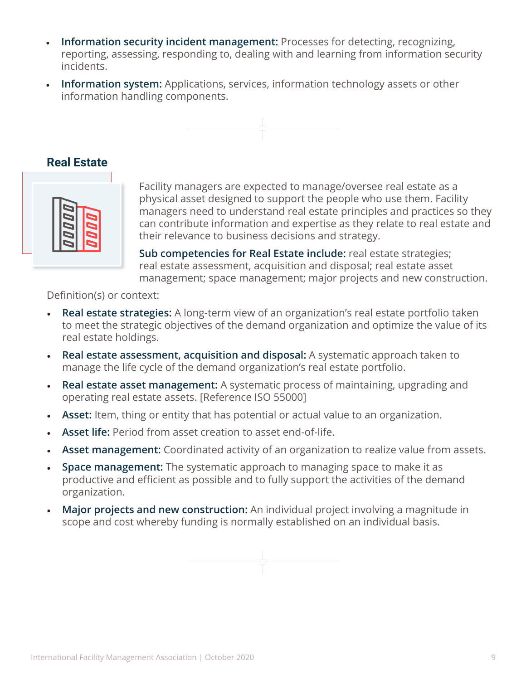- **Information security incident management:** Processes for detecting, recognizing, reporting, assessing, responding to, dealing with and learning from information security incidents.
- **Information system:** Applications, services, information technology assets or other information handling components.



# **Real Estate**



Facility managers are expected to manage/oversee real estate as a physical asset designed to support the people who use them. Facility managers need to understand real estate principles and practices so they can contribute information and expertise as they relate to real estate and their relevance to business decisions and strategy.

**Sub competencies for Real Estate include:** real estate strategies; real estate assessment, acquisition and disposal; real estate asset management; space management; major projects and new construction.

- **Real estate strategies:** A long-term view of an organization's real estate portfolio taken to meet the strategic objectives of the demand organization and optimize the value of its real estate holdings.
- **Real estate assessment, acquisition and disposal:** A systematic approach taken to manage the life cycle of the demand organization's real estate portfolio.
- **Real estate asset management:** A systematic process of maintaining, upgrading and operating real estate assets. [Reference ISO 55000]
- **Asset:** Item, thing or entity that has potential or actual value to an organization.
- **Asset life:** Period from asset creation to asset end-of-life.
- **Asset management:** Coordinated activity of an organization to realize value from assets.
- **Space management:** The systematic approach to managing space to make it as productive and efficient as possible and to fully support the activities of the demand organization.
- **Major projects and new construction:** An individual project involving a magnitude in scope and cost whereby funding is normally established on an individual basis.